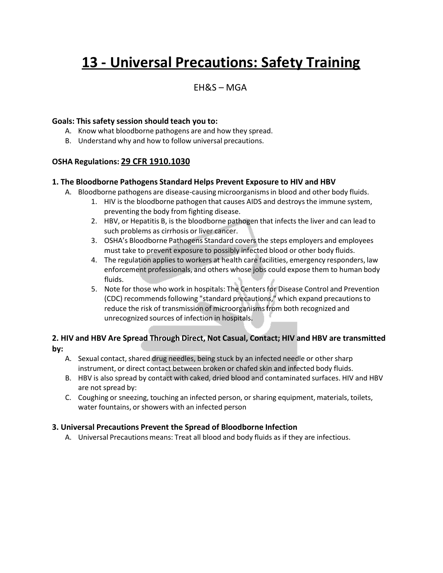# **13 - Universal Precautions: Safety Training**

# EH&S – MGA

#### **Goals: This safety session should teach you to:**

- A. Know what bloodborne pathogens are and how they spread.
- B. Understand why and how to follow universal precautions.

## **OSHA Regulations: 29 CFR 1910.1030**

#### **1. The Bloodborne Pathogens Standard Helps Prevent Exposure to HIV and HBV**

- A. Bloodborne pathogens are disease-causingmicroorganismsin blood and other body fluids.
	- 1. HIV is the bloodborne pathogen that causes AIDS and destroysthe immune system, preventing the body from fighting disease.
	- 2. HBV, or Hepatitis B, is the bloodborne pathogen that infects the liver and can lead to such problems as cirrhosis or liver cancer.
	- 3. OSHA's Bloodborne Pathogens Standard covers the steps employers and employees must take to prevent exposure to possibly infected blood or other body fluids.
	- 4. The regulation applies to workers at health care facilities, emergency responders, law enforcement professionals, and others whose jobs could expose them to human body fluids.
	- 5. Note for those who work in hospitals: The Centersfor Disease Control and Prevention (CDC) recommends following "standard precautions," which expand precautions to reduce the risk of transmission of microorganismsfrom both recognized and unrecognized sources of infection in hospitals.

## **2. HIV and HBV Are Spread Through Direct, Not Casual, Contact; HIV and HBV are transmitted by:**

- A. Sexual contact, shared drug needles, being stuck by an infected needle or other sharp instrument, or direct contact between broken or chafed skin and infected body fluids.
- B. HBV is also spread by contact with caked, dried blood and contaminated surfaces. HIV and HBV are not spread by:
- C. Coughing or sneezing, touching an infected person, or sharing equipment, materials, toilets, water fountains, or showers with an infected person

#### **3. Universal Precautions Prevent the Spread of Bloodborne Infection**

A. Universal Precautions means: Treat all blood and body fluids as if they are infectious.